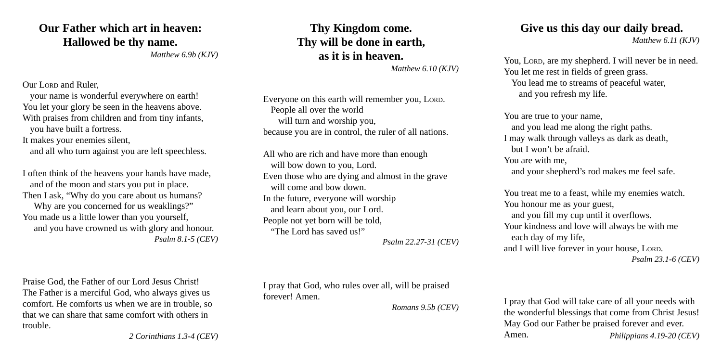## **Our Father which art in heaven: Hallowed be thy name.**

*Matthew 6.9b (KJV)*

Our LORD and Ruler

your name is wonderful everywhere on earth! You let your glory be seen in the heavens above. With praises from children and from tiny infants, you have built a fortress.

It makes your enemies silent,

and all who turn against you are left speechless.

I often think of the heavens your hands have made, and of the moon and stars you put in place. Then I ask, "Why do you care about us humans? Why are you concerned for us weaklings?" You made us a little lower than you yourself, and you have crowned us with glory and honour. *Psalm 8.1-5 (CEV)*

Praise God, the Father of our Lord Jesus Christ! The Father is a merciful God, who always gives us comfort. He comforts us when we are in trouble, so that we can share that same comfort with others in trouble.

**Thy Kingdom come. Thy will be done in earth, as it is in heaven.**

*Matthew 6.10 (KJV)*

Everyone on this earth will remember you, LORD. People all over the world will turn and worship you, because you are in control, the ruler of all nations.

All who are rich and have more than enough will bow down to you, Lord. Even those who are dying and almost in the grave will come and bow down. In the future, everyone will worship and learn about you, our Lord. People not yet born will be told, "The Lord has saved us!" *Psalm 22.27-31 (CEV)* **Give us this day our daily bread.**

*Matthew 6.11 (KJV)*

You, LORD, are my shepherd. I will never be in need. You let me rest in fields of green grass. You lead me to streams of peaceful water, and you refresh my life.

You are true to your name, and you lead me along the right paths. I may walk through valleys as dark as death, but I won't be afraid. You are with me, and your shepherd's rod makes me feel safe.

You treat me to a feast, while my enemies watch. You honour me as your guest, and you fill my cup until it overflows. Your kindness and love will always be with me each day of my life, and I will live forever in your house, LORD. *Psalm 23.1-6 (CEV)*

I pray that God, who rules over all, will be praised forever! Amen.

*Romans 9.5b (CEV)*

I pray that God will take care of all your needs with the wonderful blessings that come from Christ Jesus! May God our Father be praised forever and ever. Amen. *Philippians 4.19-20 (CEV)*

*2 Corinthians 1.3-4 (CEV)*